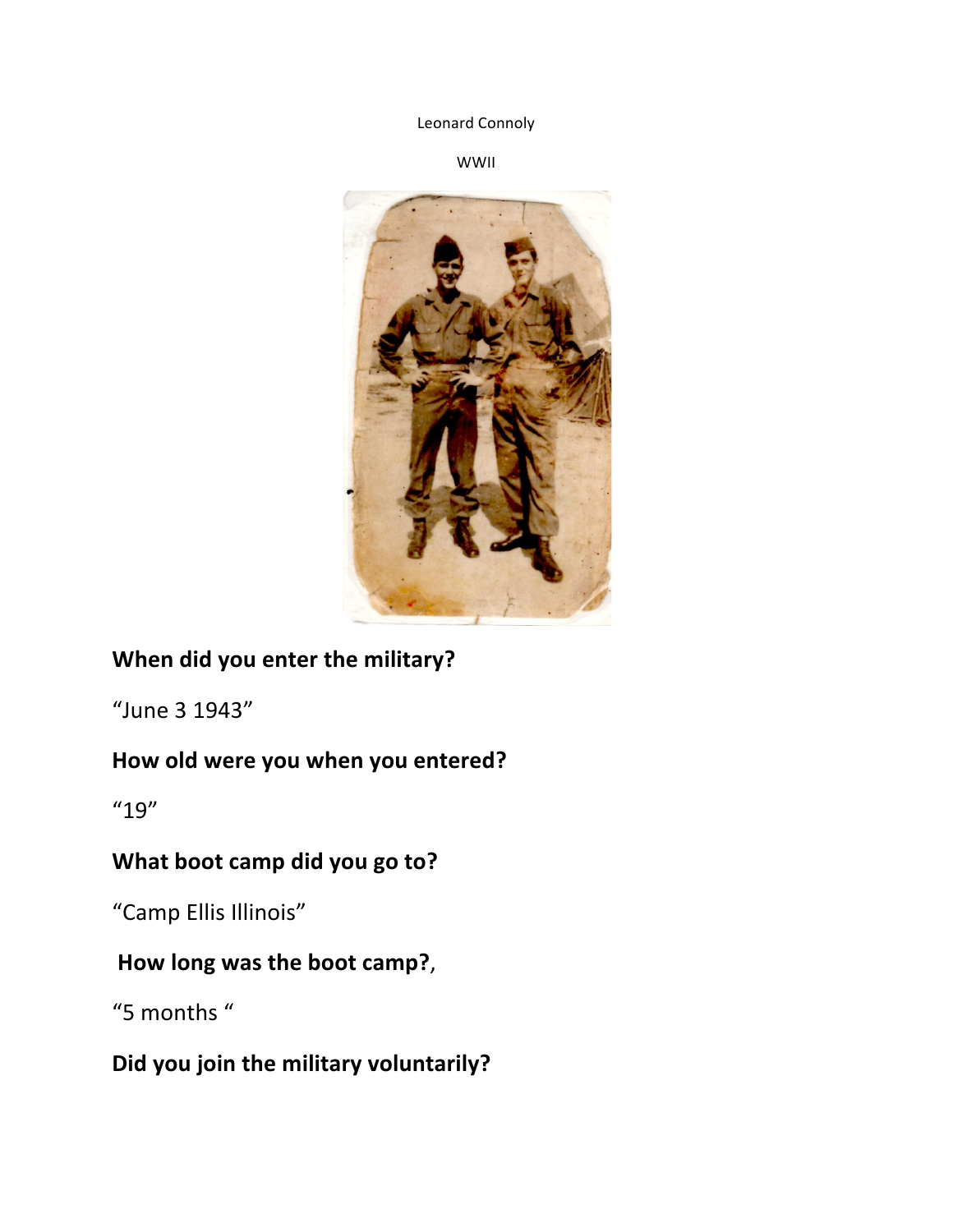Leonard Connoly

WWII



### **When did you enter the military?**

"June 3 1943"

#### How old were you when you entered?

"19"

#### **What boot camp did you go to?**

"Camp Ellis Illinois"

### How long was the boot camp?,

"5 months"

### **Did you join the military voluntarily?**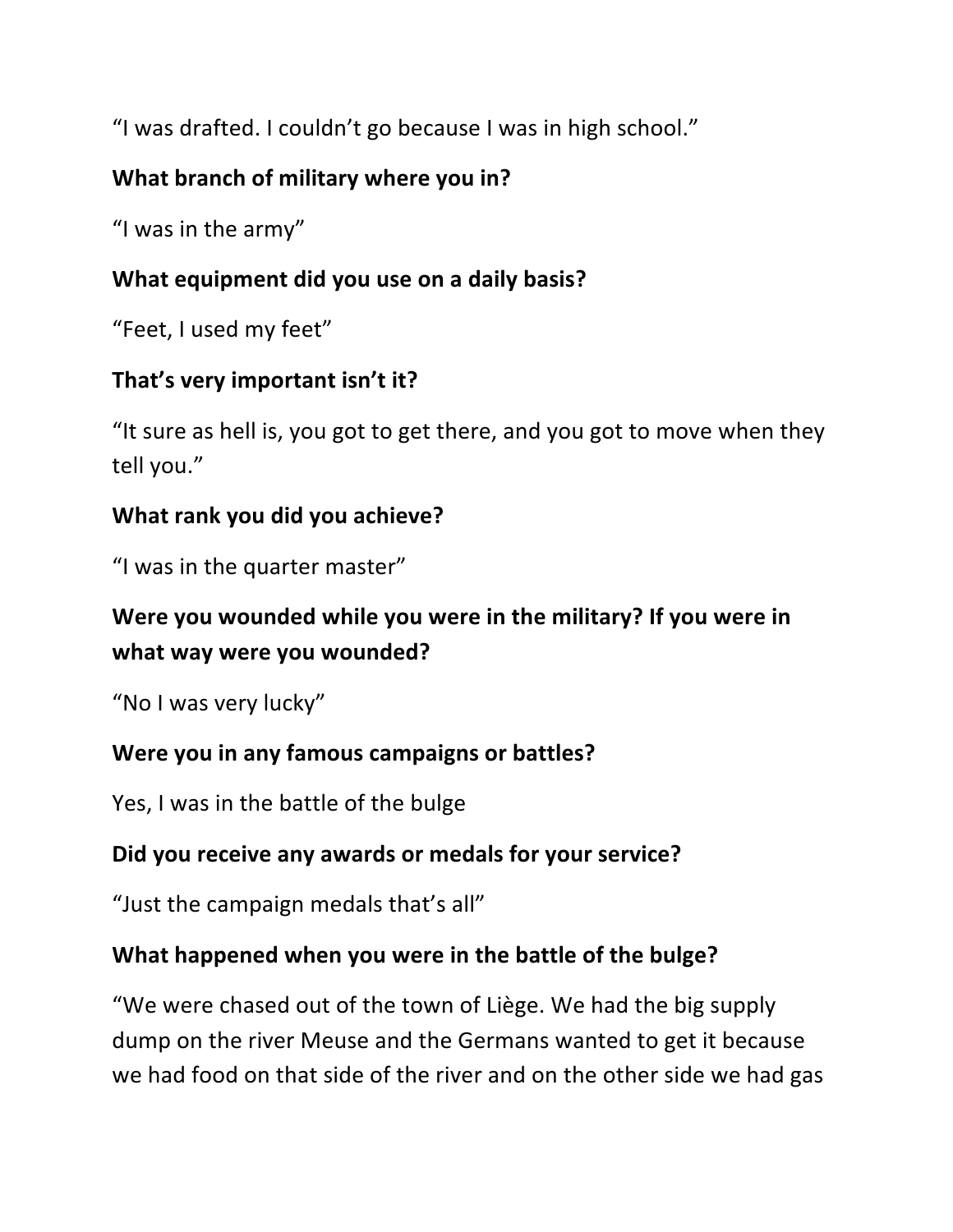"I was drafted. I couldn't go because I was in high school."

## **What branch of military where you in?**

"I was in the army"

## **What equipment did you use on a daily basis?**

"Feet, I used my feet"

# That's very important isn't it?

"It sure as hell is, you got to get there, and you got to move when they tell you."

### **What rank you did you achieve?**

"I was in the quarter master"

## Were you wounded while you were in the military? If you were in **what way were you wounded?**

"No I was very lucky"

### **Were you in any famous campaigns or battles?**

Yes, I was in the battle of the bulge

### Did you receive any awards or medals for your service?

"Just the campaign medals that's all"

### What happened when you were in the battle of the bulge?

"We were chased out of the town of Liège. We had the big supply dump on the river Meuse and the Germans wanted to get it because we had food on that side of the river and on the other side we had gas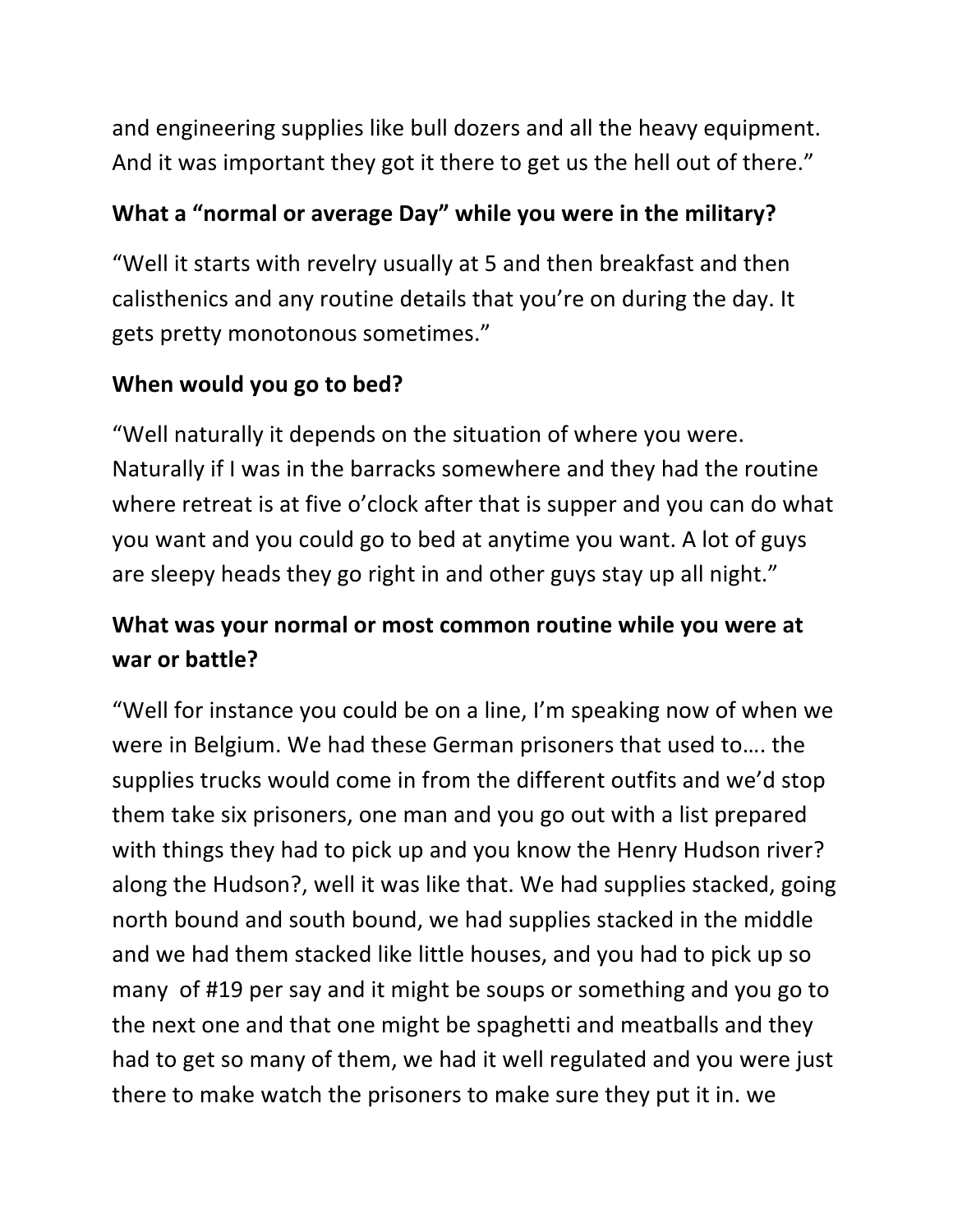and engineering supplies like bull dozers and all the heavy equipment. And it was important they got it there to get us the hell out of there."

### What a "normal or average Day" while you were in the military?

"Well it starts with revelry usually at 5 and then breakfast and then calisthenics and any routine details that you're on during the day. It gets pretty monotonous sometimes."

## **When would you go to bed?**

"Well naturally it depends on the situation of where you were. Naturally if I was in the barracks somewhere and they had the routine where retreat is at five o'clock after that is supper and you can do what you want and you could go to bed at anytime you want. A lot of guys are sleepy heads they go right in and other guys stay up all night."

## What was your normal or most common routine while you were at war or battle?

"Well for instance you could be on a line, I'm speaking now of when we were in Belgium. We had these German prisoners that used to.... the supplies trucks would come in from the different outfits and we'd stop them take six prisoners, one man and you go out with a list prepared with things they had to pick up and you know the Henry Hudson river? along the Hudson?, well it was like that. We had supplies stacked, going north bound and south bound, we had supplies stacked in the middle and we had them stacked like little houses, and you had to pick up so many of #19 per say and it might be soups or something and you go to the next one and that one might be spaghetti and meatballs and they had to get so many of them, we had it well regulated and you were just there to make watch the prisoners to make sure they put it in. we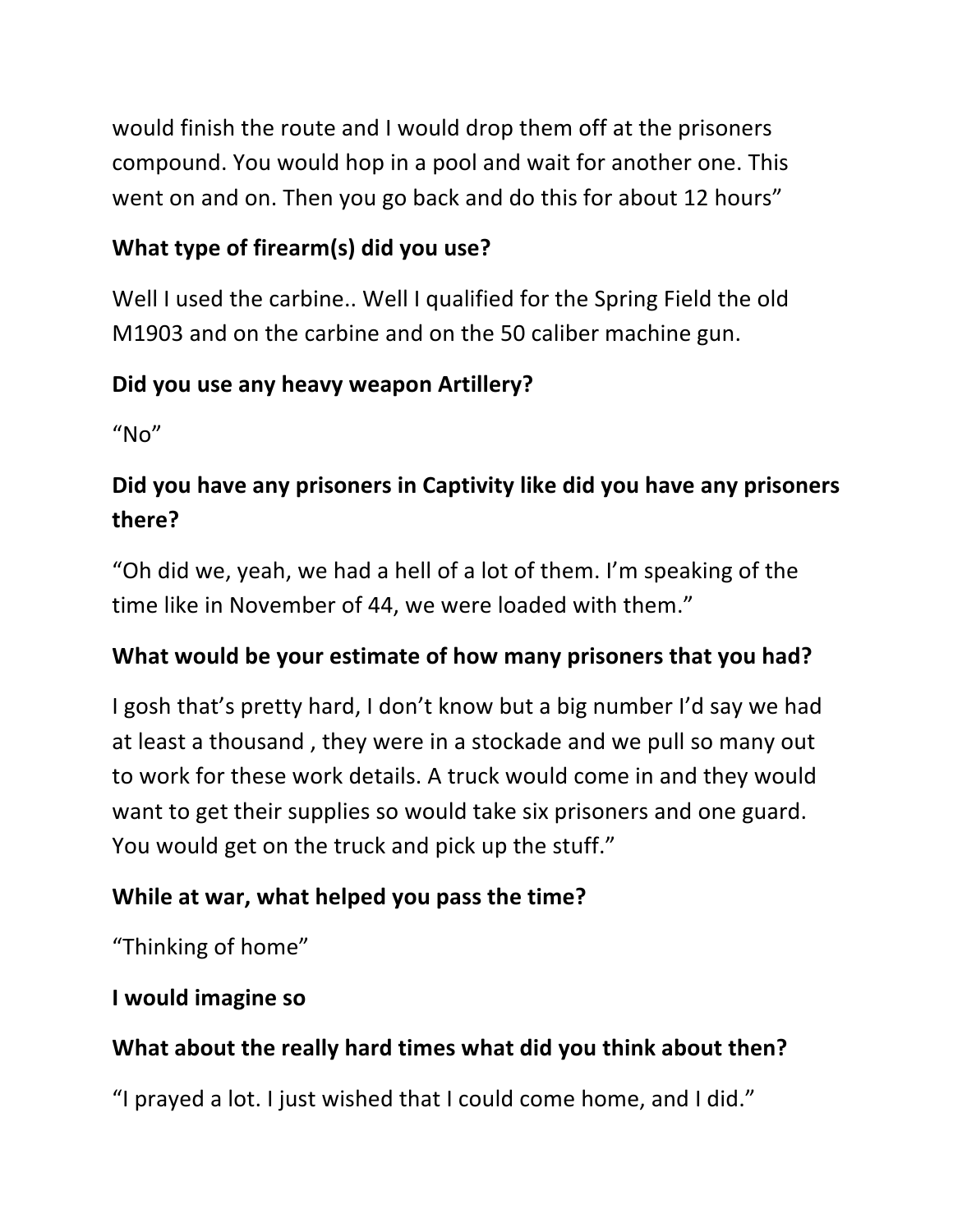would finish the route and I would drop them off at the prisoners compound. You would hop in a pool and wait for another one. This went on and on. Then you go back and do this for about 12 hours"

## **What type of firearm(s) did you use?**

Well I used the carbine.. Well I qualified for the Spring Field the old M1903 and on the carbine and on the 50 caliber machine gun.

## **Did you use any heavy weapon Artillery?**

 $''$ No"

# **Did you have any prisoners in Captivity like did you have any prisoners there?**

"Oh did we, yeah, we had a hell of a lot of them. I'm speaking of the time like in November of 44, we were loaded with them."

## What would be your estimate of how many prisoners that you had?

I gosh that's pretty hard, I don't know but a big number I'd say we had at least a thousand, they were in a stockade and we pull so many out to work for these work details. A truck would come in and they would want to get their supplies so would take six prisoners and one guard. You would get on the truck and pick up the stuff."

## While at war, what helped you pass the time?

"Thinking of home"

### **I** would imagine so

# What about the really hard times what did you think about then?

"I prayed a lot. I just wished that I could come home, and I did."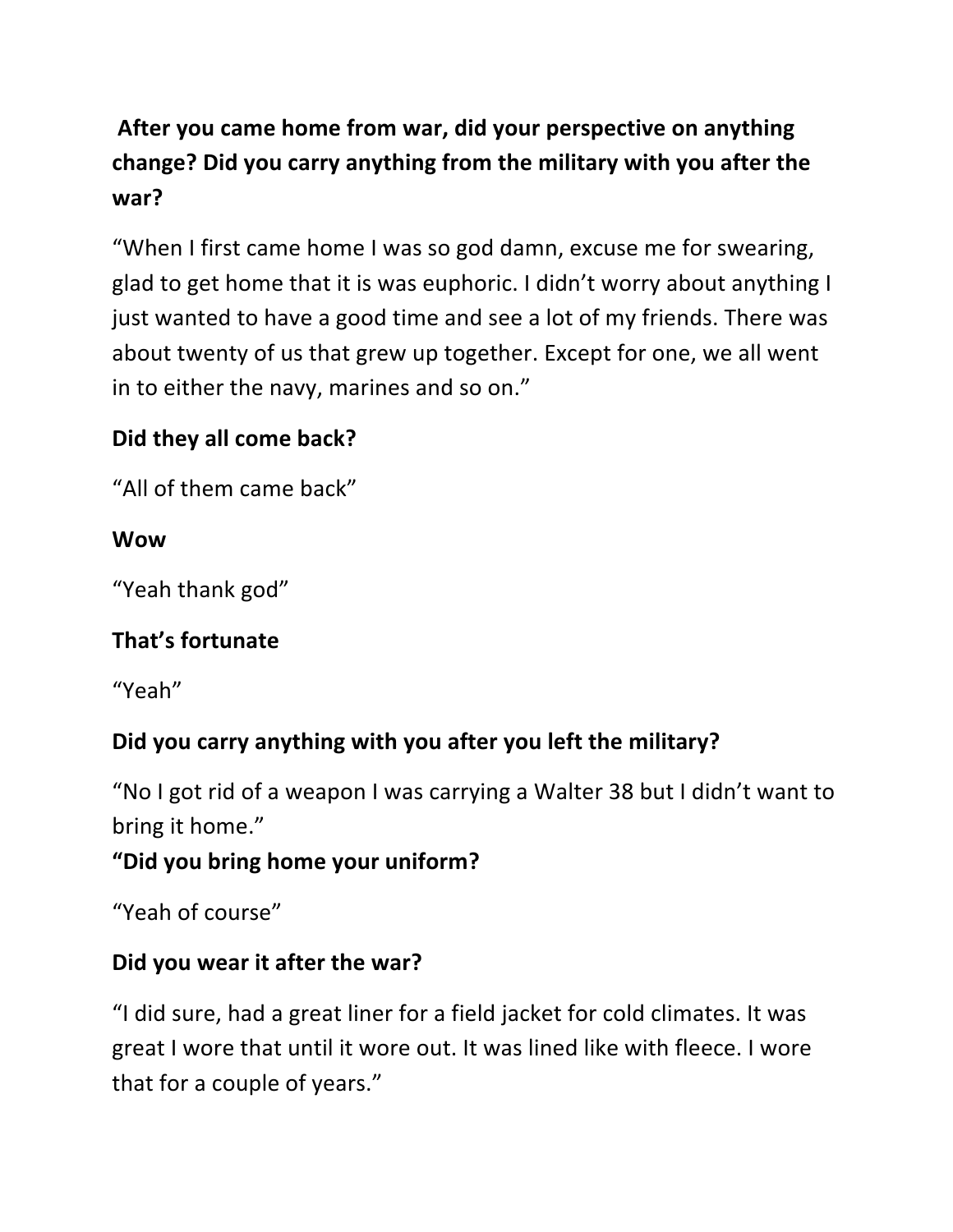# After you came home from war, did your perspective on anything change? Did you carry anything from the military with you after the **war?**

"When I first came home I was so god damn, excuse me for swearing, glad to get home that it is was euphoric. I didn't worry about anything I just wanted to have a good time and see a lot of my friends. There was about twenty of us that grew up together. Except for one, we all went in to either the navy, marines and so on."

### **Did they all come back?**

"All of them came back"

#### **Wow**

"Yeah thank god"

### **That's fortunate**

"Yeah"

### Did you carry anything with you after you left the military?

"No I got rid of a weapon I was carrying a Walter 38 but I didn't want to bring it home."

### "Did you bring home your uniform?

"Yeah of course"

### **Did you wear it after the war?**

"I did sure, had a great liner for a field jacket for cold climates. It was great I wore that until it wore out. It was lined like with fleece. I wore that for a couple of years."